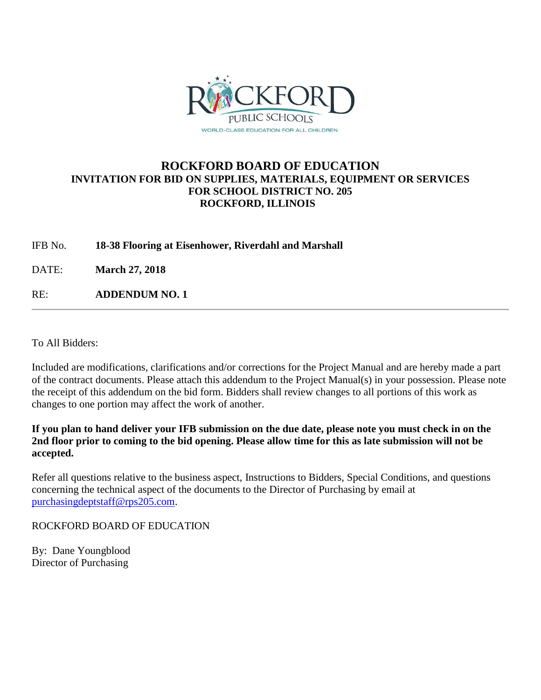

# **ROCKFORD BOARD OF EDUCATION INVITATION FOR BID ON SUPPLIES, MATERIALS, EQUIPMENT OR SERVICES FOR SCHOOL DISTRICT NO. 205 ROCKFORD, ILLINOIS**

IFB No. **18-38 Flooring at Eisenhower, Riverdahl and Marshall**

DATE: **March 27, 2018**

RE: **ADDENDUM NO. 1**

To All Bidders:

Included are modifications, clarifications and/or corrections for the Project Manual and are hereby made a part of the contract documents. Please attach this addendum to the Project Manual(s) in your possession. Please note the receipt of this addendum on the bid form. Bidders shall review changes to all portions of this work as changes to one portion may affect the work of another.

**If you plan to hand deliver your IFB submission on the due date, please note you must check in on the 2nd floor prior to coming to the bid opening. Please allow time for this as late submission will not be accepted.**

Refer all questions relative to the business aspect, Instructions to Bidders, Special Conditions, and questions concerning the technical aspect of the documents to the Director of Purchasing by email at [purchasingdeptstaff@rps205.com.](mailto:purchasingdeptstaff@rps205.com)

ROCKFORD BOARD OF EDUCATION

By: Dane Youngblood Director of Purchasing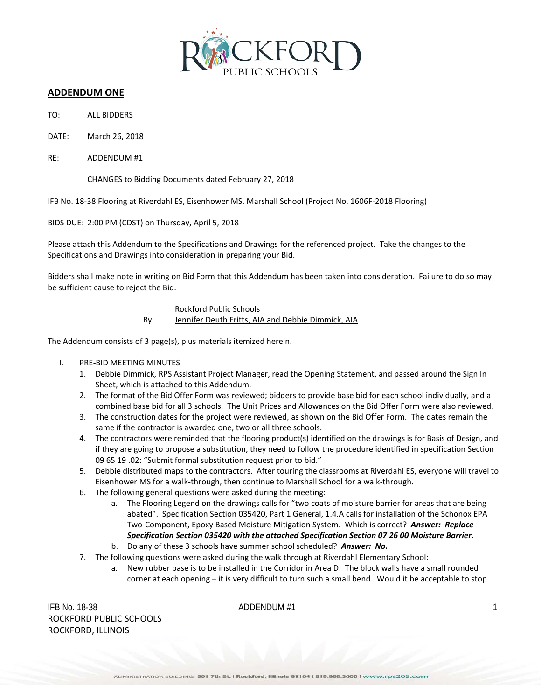

## **ADDENDUM ONE**

- TO: ALL BIDDERS
- DATE: March 26, 2018
- RE: ADDENDUM #1

CHANGES to Bidding Documents dated February 27, 2018

IFB No. 18-38 Flooring at Riverdahl ES, Eisenhower MS, Marshall School (Project No. 1606F-2018 Flooring)

BIDS DUE: 2:00 PM (CDST) on Thursday, April 5, 2018

Please attach this Addendum to the Specifications and Drawings for the referenced project. Take the changes to the Specifications and Drawings into consideration in preparing your Bid.

Bidders shall make note in writing on Bid Form that this Addendum has been taken into consideration. Failure to do so may be sufficient cause to reject the Bid.

> Rockford Public Schools By: Jennifer Deuth Fritts, AIA and Debbie Dimmick, AIA

The Addendum consists of 3 page(s), plus materials itemized herein.

## I. PRE-BID MEETING MINUTES

- 1. Debbie Dimmick, RPS Assistant Project Manager, read the Opening Statement, and passed around the Sign In Sheet, which is attached to this Addendum.
- 2. The format of the Bid Offer Form was reviewed; bidders to provide base bid for each school individually, and a combined base bid for all 3 schools. The Unit Prices and Allowances on the Bid Offer Form were also reviewed.
- 3. The construction dates for the project were reviewed, as shown on the Bid Offer Form. The dates remain the same if the contractor is awarded one, two or all three schools.
- 4. The contractors were reminded that the flooring product(s) identified on the drawings is for Basis of Design, and if they are going to propose a substitution, they need to follow the procedure identified in specification Section 09 65 19 .02: "Submit formal substitution request prior to bid."
- 5. Debbie distributed maps to the contractors. After touring the classrooms at Riverdahl ES, everyone will travel to Eisenhower MS for a walk-through, then continue to Marshall School for a walk-through.
- 6. The following general questions were asked during the meeting:
	- a. The Flooring Legend on the drawings calls for "two coats of moisture barrier for areas that are being abated". Specification Section 035420, Part 1 General, 1.4.A calls for installation of the Schonox EPA Two-Component, Epoxy Based Moisture Mitigation System. Which is correct? *Answer: Replace Specification Section 035420 with the attached Specification Section 07 26 00 Moisture Barrier.*
	- b. Do any of these 3 schools have summer school scheduled? *Answer: No.*
- 7. The following questions were asked during the walk through at Riverdahl Elementary School:
	- a. New rubber base is to be installed in the Corridor in Area D. The block walls have a small rounded corner at each opening – it is very difficult to turn such a small bend. Would it be acceptable to stop

IFB No. 18-38  $\blacksquare$  ADDENDUM #1 ROCKFORD PUBLIC SCHOOLS ROCKFORD, ILLINOIS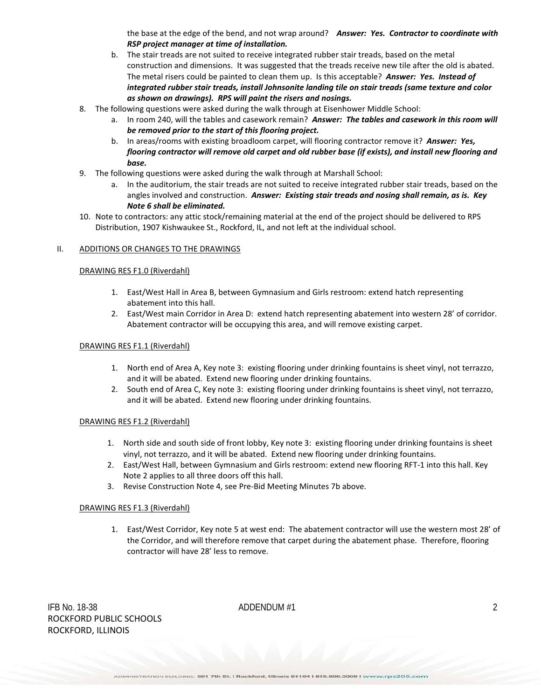the base at the edge of the bend, and not wrap around? *Answer: Yes. Contractor to coordinate with RSP project manager at time of installation.*

- b. The stair treads are not suited to receive integrated rubber stair treads, based on the metal construction and dimensions. It was suggested that the treads receive new tile after the old is abated. The metal risers could be painted to clean them up. Is this acceptable? *Answer: Yes. Instead of integrated rubber stair treads, install Johnsonite landing tile on stair treads (same texture and color as shown on drawings). RPS will paint the risers and nosings.*
- 8. The following questions were asked during the walk through at Eisenhower Middle School:
	- a. In room 240, will the tables and casework remain? *Answer: The tables and casework in this room will be removed prior to the start of this flooring project.*
	- b. In areas/rooms with existing broadloom carpet, will flooring contractor remove it? *Answer: Yes, flooring contractor will remove old carpet and old rubber base (if exists), and install new flooring and base.*
- 9. The following questions were asked during the walk through at Marshall School:
	- a. In the auditorium, the stair treads are not suited to receive integrated rubber stair treads, based on the angles involved and construction. *Answer: Existing stair treads and nosing shall remain, as is. Key Note 6 shall be eliminated.*
- 10. Note to contractors: any attic stock/remaining material at the end of the project should be delivered to RPS Distribution, 1907 Kishwaukee St., Rockford, IL, and not left at the individual school.

### II. ADDITIONS OR CHANGES TO THE DRAWINGS

### DRAWING RES F1.0 (Riverdahl)

- 1. East/West Hall in Area B, between Gymnasium and Girls restroom: extend hatch representing abatement into this hall.
- 2. East/West main Corridor in Area D: extend hatch representing abatement into western 28' of corridor. Abatement contractor will be occupying this area, and will remove existing carpet.

### DRAWING RES F1.1 (Riverdahl)

- 1. North end of Area A, Key note 3: existing flooring under drinking fountains is sheet vinyl, not terrazzo, and it will be abated. Extend new flooring under drinking fountains.
- 2. South end of Area C, Key note 3: existing flooring under drinking fountains is sheet vinyl, not terrazzo, and it will be abated. Extend new flooring under drinking fountains.

### DRAWING RES F1.2 (Riverdahl)

- 1. North side and south side of front lobby, Key note 3: existing flooring under drinking fountains is sheet vinyl, not terrazzo, and it will be abated. Extend new flooring under drinking fountains.
- 2. East/West Hall, between Gymnasium and Girls restroom: extend new flooring RFT-1 into this hall. Key Note 2 applies to all three doors off this hall.
- 3. Revise Construction Note 4, see Pre-Bid Meeting Minutes 7b above.

### DRAWING RES F1.3 (Riverdahl)

1. East/West Corridor, Key note 5 at west end: The abatement contractor will use the western most 28' of the Corridor, and will therefore remove that carpet during the abatement phase. Therefore, flooring contractor will have 28' less to remove.

IFB No. 18-38  $\blacksquare$  ADDENDUM #1 2 ROCKFORD PUBLIC SCHOOLS ROCKFORD, ILLINOIS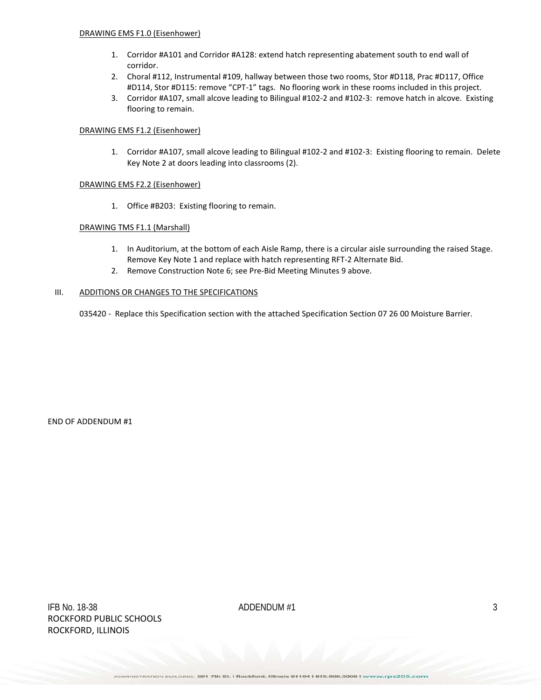- 1. Corridor #A101 and Corridor #A128: extend hatch representing abatement south to end wall of corridor.
- 2. Choral #112, Instrumental #109, hallway between those two rooms, Stor #D118, Prac #D117, Office #D114, Stor #D115: remove "CPT-1" tags. No flooring work in these rooms included in this project.
- 3. Corridor #A107, small alcove leading to Bilingual #102-2 and #102-3: remove hatch in alcove. Existing flooring to remain.

## DRAWING EMS F1.2 (Eisenhower)

1. Corridor #A107, small alcove leading to Bilingual #102-2 and #102-3: Existing flooring to remain. Delete Key Note 2 at doors leading into classrooms (2).

## DRAWING EMS F2.2 (Eisenhower)

1. Office #B203: Existing flooring to remain.

## DRAWING TMS F1.1 (Marshall)

- 1. In Auditorium, at the bottom of each Aisle Ramp, there is a circular aisle surrounding the raised Stage. Remove Key Note 1 and replace with hatch representing RFT-2 Alternate Bid.
- 2. Remove Construction Note 6; see Pre-Bid Meeting Minutes 9 above.

## III. ADDITIONS OR CHANGES TO THE SPECIFICATIONS

035420 - Replace this Specification section with the attached Specification Section 07 26 00 Moisture Barrier.

END OF ADDENDUM #1

IFB No. 18-38  $ADDENDUM #1$  3 ROCKFORD PUBLIC SCHOOLS ROCKFORD, ILLINOIS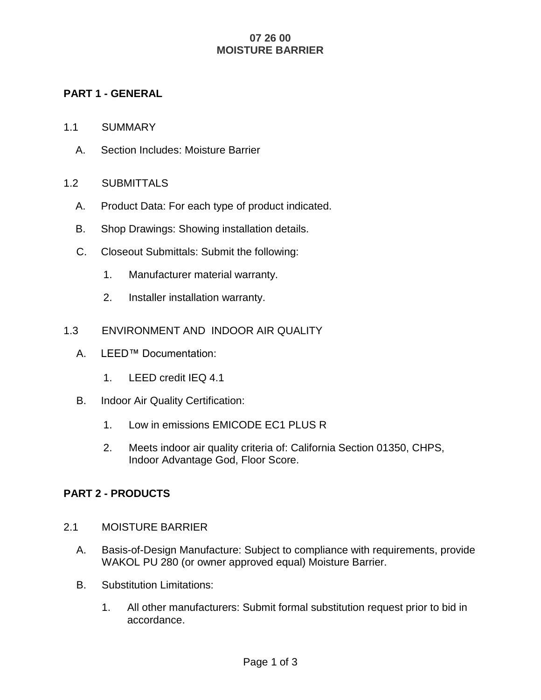# **07 26 00 MOISTURE BARRIER**

# **PART 1 - GENERAL**

- 1.1 SUMMARY
	- A. Section Includes: Moisture Barrier

## 1.2 SUBMITTALS

- A. Product Data: For each type of product indicated.
- B. Shop Drawings: Showing installation details.
- C. Closeout Submittals: Submit the following:
	- 1. Manufacturer material warranty.
	- 2. Installer installation warranty.
- 1.3 ENVIRONMENT AND INDOOR AIR QUALITY
	- A. LEED™ Documentation:
		- 1. LEED credit IEQ 4.1
	- B. Indoor Air Quality Certification:
		- 1. Low in emissions EMICODE EC1 PLUS R
		- 2. Meets indoor air quality criteria of: California Section 01350, CHPS, Indoor Advantage God, Floor Score.

## **PART 2 - PRODUCTS**

- 2.1 MOISTURE BARRIER
	- A. Basis-of-Design Manufacture: Subject to compliance with requirements, provide WAKOL PU 280 (or owner approved equal) Moisture Barrier.
	- B. Substitution Limitations:
		- 1. All other manufacturers: Submit formal substitution request prior to bid in accordance.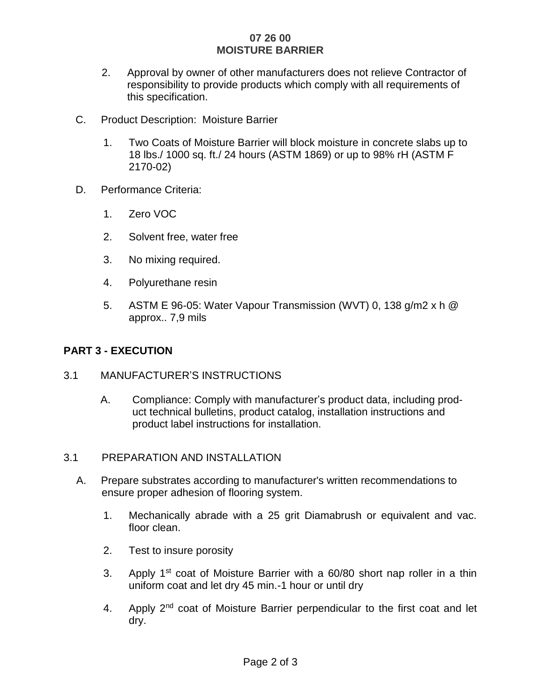## **07 26 00 MOISTURE BARRIER**

- 2. Approval by owner of other manufacturers does not relieve Contractor of responsibility to provide products which comply with all requirements of this specification.
- C. Product Description: Moisture Barrier
	- 1. Two Coats of Moisture Barrier will block moisture in concrete slabs up to 18 lbs./ 1000 sq. ft./ 24 hours (ASTM 1869) or up to 98% rH (ASTM F 2170-02)
- D. Performance Criteria:
	- 1. Zero VOC
	- 2. Solvent free, water free
	- 3. No mixing required.
	- 4. Polyurethane resin
	- 5. ASTM E 96-05: Water Vapour Transmission (WVT) 0, 138 g/m2 x h @ approx.. 7,9 mils

# **PART 3 - EXECUTION**

## 3.1 MANUFACTURER'S INSTRUCTIONS

A. Compliance: Comply with manufacturer's product data, including product technical bulletins, product catalog, installation instructions and product label instructions for installation.

# 3.1 PREPARATION AND INSTALLATION

- A. Prepare substrates according to manufacturer's written recommendations to ensure proper adhesion of flooring system.
	- 1. Mechanically abrade with a 25 grit Diamabrush or equivalent and vac. floor clean.
	- 2. Test to insure porosity
	- 3. Apply 1st coat of Moisture Barrier with a 60/80 short nap roller in a thin uniform coat and let dry 45 min.-1 hour or until dry
	- 4. Apply 2<sup>nd</sup> coat of Moisture Barrier perpendicular to the first coat and let dry.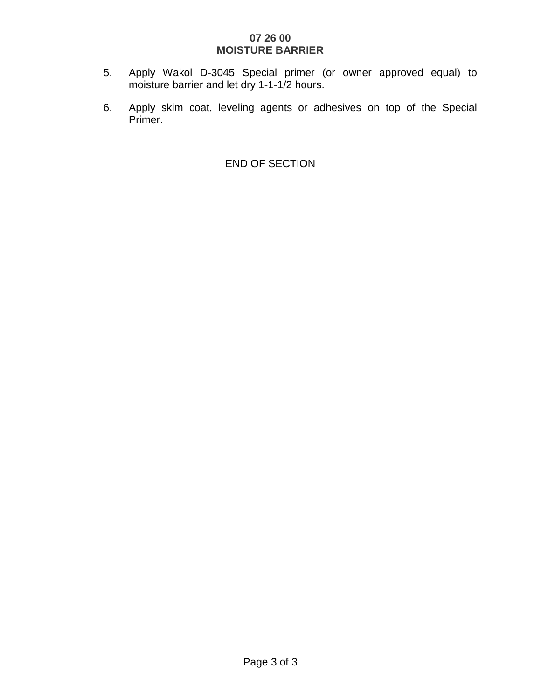# **07 26 00 MOISTURE BARRIER**

- 5. Apply Wakol D-3045 Special primer (or owner approved equal) to moisture barrier and let dry 1-1-1/2 hours.
- 6. Apply skim coat, leveling agents or adhesives on top of the Special Primer.

END OF SECTION